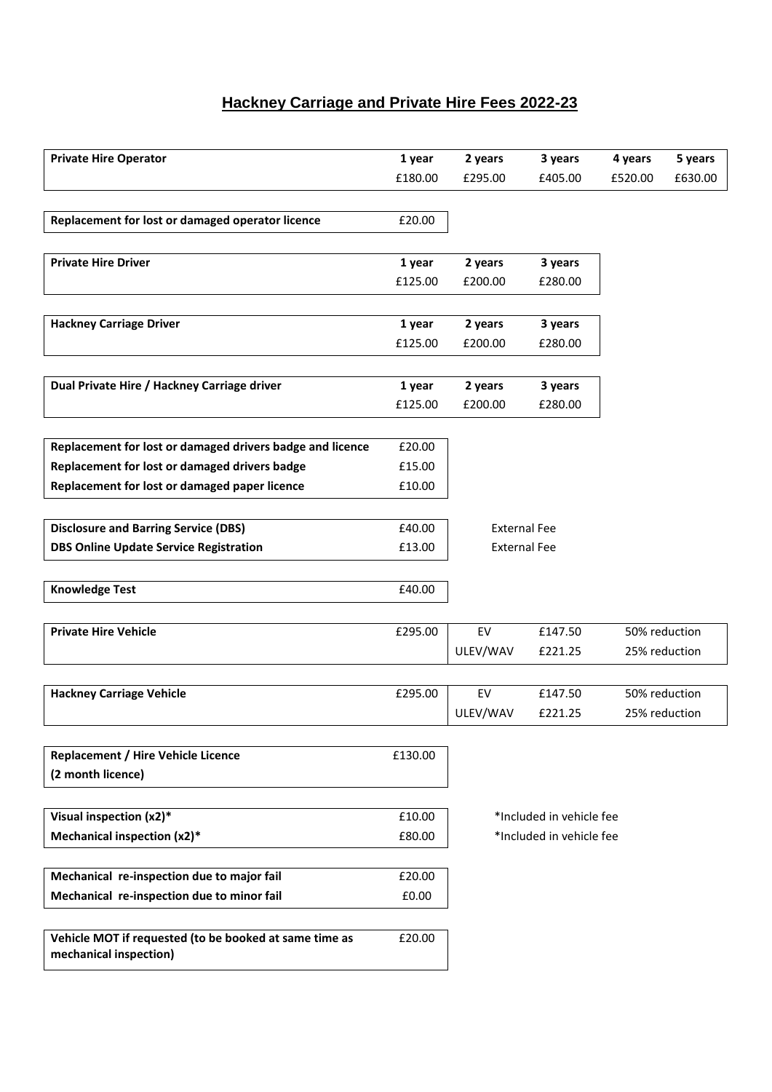## **Hackney Carriage and Private Hire Fees 2022-23**

| <b>Private Hire Operator</b>                              | 1 year  | 2 years             | 3 years                  | 4 years       | 5 years |
|-----------------------------------------------------------|---------|---------------------|--------------------------|---------------|---------|
|                                                           | £180.00 | £295.00             | £405.00                  | £520.00       | £630.00 |
|                                                           |         |                     |                          |               |         |
|                                                           |         |                     |                          |               |         |
| Replacement for lost or damaged operator licence          | £20.00  |                     |                          |               |         |
|                                                           |         |                     |                          |               |         |
| <b>Private Hire Driver</b>                                | 1 year  | 2 years             | 3 years                  |               |         |
|                                                           | £125.00 | £200.00             | £280.00                  |               |         |
|                                                           |         |                     |                          |               |         |
| <b>Hackney Carriage Driver</b>                            | 1 year  | 2 years             | 3 years                  |               |         |
|                                                           | £125.00 | £200.00             | £280.00                  |               |         |
|                                                           |         |                     |                          |               |         |
| Dual Private Hire / Hackney Carriage driver               | 1 year  | 2 years             | 3 years                  |               |         |
|                                                           | £125.00 | £200.00             | £280.00                  |               |         |
|                                                           |         |                     |                          |               |         |
| Replacement for lost or damaged drivers badge and licence | £20.00  |                     |                          |               |         |
| Replacement for lost or damaged drivers badge             | £15.00  |                     |                          |               |         |
| Replacement for lost or damaged paper licence             |         |                     |                          |               |         |
|                                                           | £10.00  |                     |                          |               |         |
|                                                           |         |                     |                          |               |         |
| <b>Disclosure and Barring Service (DBS)</b>               | £40.00  | <b>External Fee</b> |                          |               |         |
| <b>DBS Online Update Service Registration</b>             | £13.00  | <b>External Fee</b> |                          |               |         |
|                                                           |         |                     |                          |               |         |
| <b>Knowledge Test</b>                                     | £40.00  |                     |                          |               |         |
|                                                           |         |                     |                          |               |         |
| <b>Private Hire Vehicle</b>                               | £295.00 | EV                  | £147.50                  | 50% reduction |         |
|                                                           |         | ULEV/WAV            | £221.25                  | 25% reduction |         |
|                                                           |         |                     |                          |               |         |
| <b>Hackney Carriage Vehicle</b>                           | £295.00 | EV                  | £147.50                  | 50% reduction |         |
|                                                           |         | ULEV/WAV            | £221.25                  | 25% reduction |         |
|                                                           |         |                     |                          |               |         |
|                                                           |         |                     |                          |               |         |
| <b>Replacement / Hire Vehicle Licence</b>                 | £130.00 |                     |                          |               |         |
| (2 month licence)                                         |         |                     |                          |               |         |
|                                                           |         |                     |                          |               |         |
| Visual inspection (x2)*                                   | £10.00  |                     | *Included in vehicle fee |               |         |
| Mechanical inspection (x2)*                               | £80.00  |                     | *Included in vehicle fee |               |         |
|                                                           |         |                     |                          |               |         |
| Mechanical re-inspection due to major fail                | £20.00  |                     |                          |               |         |
| Mechanical re-inspection due to minor fail                | £0.00   |                     |                          |               |         |
|                                                           |         |                     |                          |               |         |
| Vehicle MOT if requested (to be booked at same time as    | £20.00  |                     |                          |               |         |
| mechanical inspection)                                    |         |                     |                          |               |         |
|                                                           |         |                     |                          |               |         |